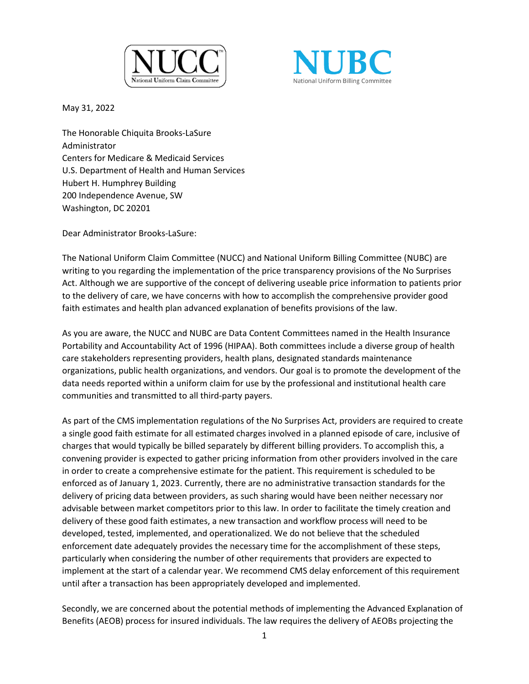



May 31, 2022

The Honorable Chiquita Brooks-LaSure Administrator Centers for Medicare & Medicaid Services U.S. Department of Health and Human Services Hubert H. Humphrey Building 200 Independence Avenue, SW Washington, DC 20201

Dear Administrator Brooks-LaSure:

The National Uniform Claim Committee (NUCC) and National Uniform Billing Committee (NUBC) are writing to you regarding the implementation of the price transparency provisions of the No Surprises Act. Although we are supportive of the concept of delivering useable price information to patients prior to the delivery of care, we have concerns with how to accomplish the comprehensive provider good faith estimates and health plan advanced explanation of benefits provisions of the law.

As you are aware, the NUCC and NUBC are Data Content Committees named in the Health Insurance Portability and Accountability Act of 1996 (HIPAA). Both committees include a diverse group of health care stakeholders representing providers, health plans, designated standards maintenance organizations, public health organizations, and vendors. Our goal is to promote the development of the data needs reported within a uniform claim for use by the professional and institutional health care communities and transmitted to all third-party payers.

As part of the CMS implementation regulations of the No Surprises Act, providers are required to create a single good faith estimate for all estimated charges involved in a planned episode of care, inclusive of charges that would typically be billed separately by different billing providers. To accomplish this, a convening provider is expected to gather pricing information from other providers involved in the care in order to create a comprehensive estimate for the patient. This requirement is scheduled to be enforced as of January 1, 2023. Currently, there are no administrative transaction standards for the delivery of pricing data between providers, as such sharing would have been neither necessary nor advisable between market competitors prior to this law. In order to facilitate the timely creation and delivery of these good faith estimates, a new transaction and workflow process will need to be developed, tested, implemented, and operationalized. We do not believe that the scheduled enforcement date adequately provides the necessary time for the accomplishment of these steps, particularly when considering the number of other requirements that providers are expected to implement at the start of a calendar year. We recommend CMS delay enforcement of this requirement until after a transaction has been appropriately developed and implemented.

Secondly, we are concerned about the potential methods of implementing the Advanced Explanation of Benefits (AEOB) process for insured individuals. The law requires the delivery of AEOBs projecting the